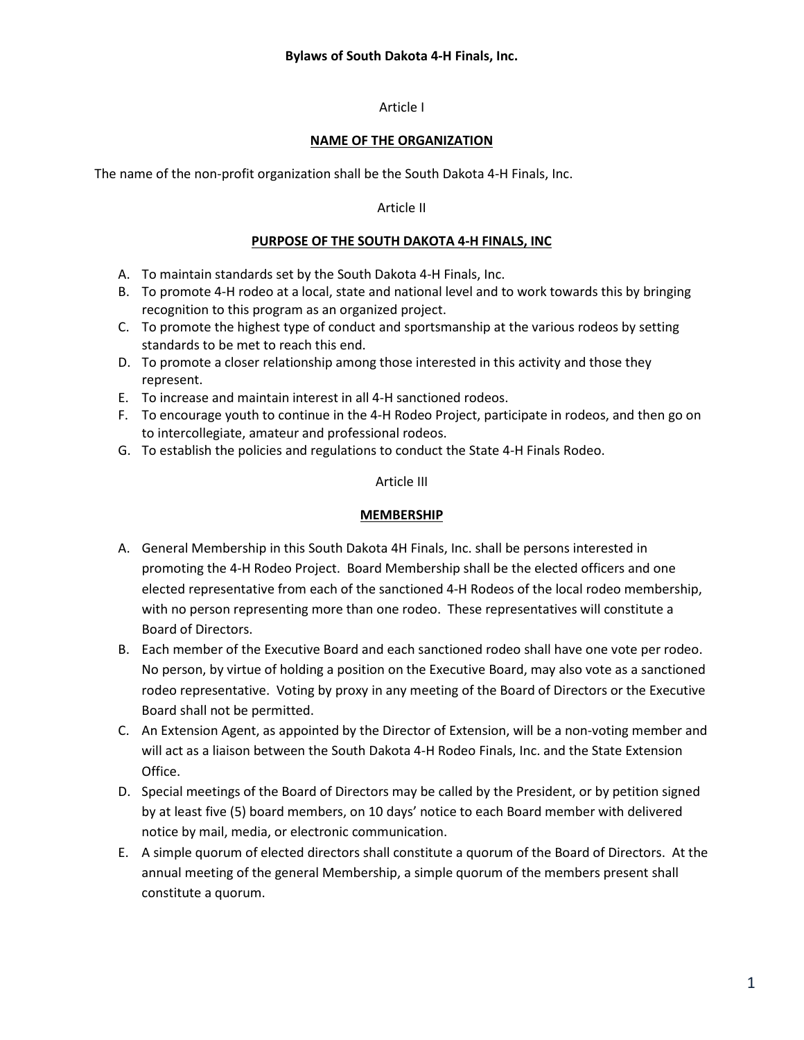## **Bylaws of South Dakota 4-H Finals, Inc.**

### Article I

### **NAME OF THE ORGANIZATION**

The name of the non-profit organization shall be the South Dakota 4-H Finals, Inc.

#### Article II

#### **PURPOSE OF THE SOUTH DAKOTA 4-H FINALS, INC**

- A. To maintain standards set by the South Dakota 4-H Finals, Inc.
- B. To promote 4-H rodeo at a local, state and national level and to work towards this by bringing recognition to this program as an organized project.
- C. To promote the highest type of conduct and sportsmanship at the various rodeos by setting standards to be met to reach this end.
- D. To promote a closer relationship among those interested in this activity and those they represent.
- E. To increase and maintain interest in all 4-H sanctioned rodeos.
- F. To encourage youth to continue in the 4-H Rodeo Project, participate in rodeos, and then go on to intercollegiate, amateur and professional rodeos.
- G. To establish the policies and regulations to conduct the State 4-H Finals Rodeo.

#### Article III

### **MEMBERSHIP**

- A. General Membership in this South Dakota 4H Finals, Inc. shall be persons interested in promoting the 4-H Rodeo Project. Board Membership shall be the elected officers and one elected representative from each of the sanctioned 4-H Rodeos of the local rodeo membership, with no person representing more than one rodeo. These representatives will constitute a Board of Directors.
- B. Each member of the Executive Board and each sanctioned rodeo shall have one vote per rodeo. No person, by virtue of holding a position on the Executive Board, may also vote as a sanctioned rodeo representative. Voting by proxy in any meeting of the Board of Directors or the Executive Board shall not be permitted.
- C. An Extension Agent, as appointed by the Director of Extension, will be a non-voting member and will act as a liaison between the South Dakota 4-H Rodeo Finals, Inc. and the State Extension Office.
- D. Special meetings of the Board of Directors may be called by the President, or by petition signed by at least five (5) board members, on 10 days' notice to each Board member with delivered notice by mail, media, or electronic communication.
- E. A simple quorum of elected directors shall constitute a quorum of the Board of Directors. At the annual meeting of the general Membership, a simple quorum of the members present shall constitute a quorum.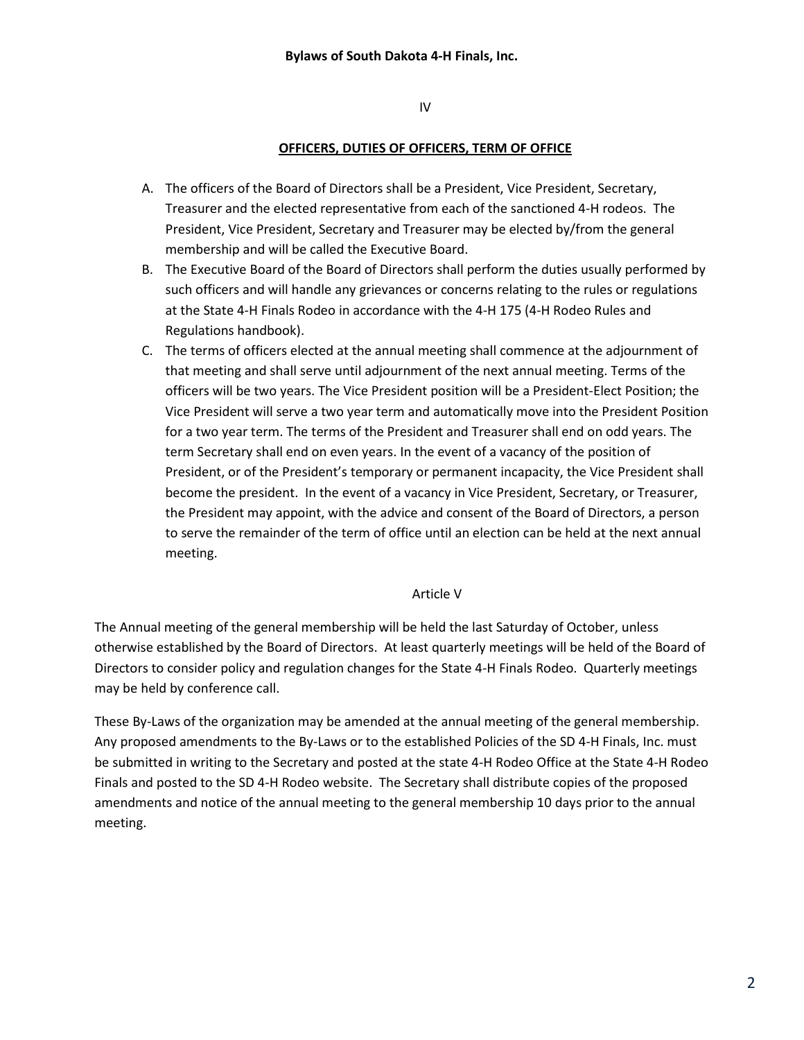IV

## **OFFICERS, DUTIES OF OFFICERS, TERM OF OFFICE**

- A. The officers of the Board of Directors shall be a President, Vice President, Secretary, Treasurer and the elected representative from each of the sanctioned 4-H rodeos. The President, Vice President, Secretary and Treasurer may be elected by/from the general membership and will be called the Executive Board.
- B. The Executive Board of the Board of Directors shall perform the duties usually performed by such officers and will handle any grievances or concerns relating to the rules or regulations at the State 4-H Finals Rodeo in accordance with the 4-H 175 (4-H Rodeo Rules and Regulations handbook).
- C. The terms of officers elected at the annual meeting shall commence at the adjournment of that meeting and shall serve until adjournment of the next annual meeting. Terms of the officers will be two years. The Vice President position will be a President-Elect Position; the Vice President will serve a two year term and automatically move into the President Position for a two year term. The terms of the President and Treasurer shall end on odd years. The term Secretary shall end on even years. In the event of a vacancy of the position of President, or of the President's temporary or permanent incapacity, the Vice President shall become the president. In the event of a vacancy in Vice President, Secretary, or Treasurer, the President may appoint, with the advice and consent of the Board of Directors, a person to serve the remainder of the term of office until an election can be held at the next annual meeting.

## Article V

The Annual meeting of the general membership will be held the last Saturday of October, unless otherwise established by the Board of Directors. At least quarterly meetings will be held of the Board of Directors to consider policy and regulation changes for the State 4-H Finals Rodeo. Quarterly meetings may be held by conference call.

These By-Laws of the organization may be amended at the annual meeting of the general membership. Any proposed amendments to the By-Laws or to the established Policies of the SD 4-H Finals, Inc. must be submitted in writing to the Secretary and posted at the state 4-H Rodeo Office at the State 4-H Rodeo Finals and posted to the SD 4-H Rodeo website. The Secretary shall distribute copies of the proposed amendments and notice of the annual meeting to the general membership 10 days prior to the annual meeting.